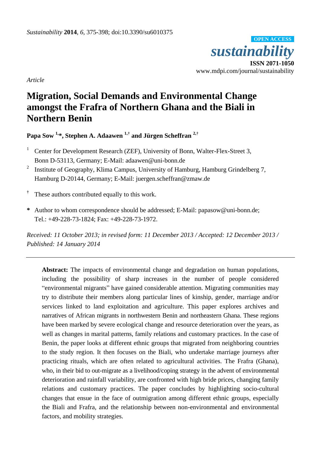*sustainability* **ISSN 2071-1050** www.mdpi.com/journal/sustainability **OPEN ACCESS**

*Article*

# **Migration, Social Demands and Environmental Change amongst the Frafra of Northern Ghana and the Biali in Northern Benin**

**Papa Sow 1,\*, Stephen A. Adaawen 1,† and Jürgen Scheffran 2,†**

- <sup>1</sup> Center for Development Research (ZEF), University of Bonn, Walter-Flex-Street 3, Bonn D-53113, Germany; E-Mail: adaawen@uni-bonn.de
- 2 Institute of Geography, Klima Campus, University of Hamburg, Hamburg Grindelberg 7, Hamburg D-20144, Germany; E-Mail: juergen.scheffran@zmaw.de
- **†** These authors contributed equally to this work.
- **\*** Author to whom correspondence should be addressed; E-Mail: papasow@uni-bonn.de; Tel.: +49-228-73-1824; Fax: +49-228-73-1972.

*Received: 11 October 2013; in revised form: 11 December 2013 / Accepted: 12 December 2013 / Published: 14 January 2014*

**Abstract:** The impacts of environmental change and degradation on human populations, including the possibility of sharp increases in the number of people considered "environmental migrants" have gained considerable attention. Migrating communities may try to distribute their members along particular lines of kinship, gender, marriage and/or services linked to land exploitation and agriculture. This paper explores archives and narratives of African migrants in northwestern Benin and northeastern Ghana. These regions have been marked by severe ecological change and resource deterioration over the years, as well as changes in marital patterns, family relations and customary practices. In the case of Benin, the paper looks at different ethnic groups that migrated from neighboring countries to the study region. It then focuses on the Biali, who undertake marriage journeys after practicing rituals, which are often related to agricultural activities. The Frafra (Ghana), who, in their bid to out-migrate as a livelihood/coping strategy in the advent of environmental deterioration and rainfall variability, are confronted with high bride prices, changing family relations and customary practices. The paper concludes by highlighting socio-cultural changes that ensue in the face of outmigration among different ethnic groups, especially the Biali and Frafra, and the relationship between non-environmental and environmental factors, and mobility strategies.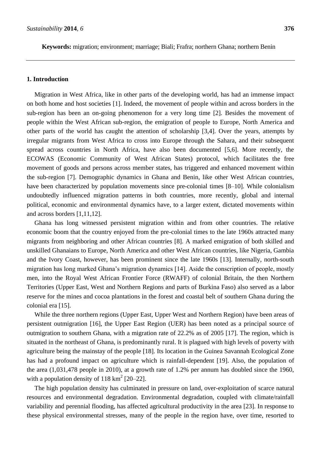**Keywords:** migration; environment; marriage; Biali; Frafra; northern Ghana; northern Benin

# **1. Introduction**

Migration in West Africa, like in other parts of the developing world, has had an immense impact on both home and host societies [1]. Indeed, the movement of people within and across borders in the sub-region has been an on-going phenomenon for a very long time [2]. Besides the movement of people within the West African sub-region, the emigration of people to Europe, North America and other parts of the world has caught the attention of scholarship [3,4]. Over the years, attempts by irregular migrants from West Africa to cross into Europe through the Sahara, and their subsequent spread across countries in North Africa, have also been documented [5,6]. More recently, the ECOWAS (Economic Community of West African States) protocol, which facilitates the free movement of goods and persons across member states, has triggered and enhanced movement within the sub-region [7]. Demographic dynamics in Ghana and Benin, like other West African countries, have been characterized by population movements since pre-colonial times [8–10]. While colonialism undoubtedly influenced migration patterns in both countries, more recently, global and internal political, economic and environmental dynamics have, to a larger extent, dictated movements within and across borders [1,11,12].

Ghana has long witnessed persistent migration within and from other countries. The relative economic boom that the country enjoyed from the pre-colonial times to the late 1960s attracted many migrants from neighboring and other African countries [8]. A marked emigration of both skilled and unskilled Ghanaians to Europe, North America and other West African countries, like Nigeria, Gambia and the Ivory Coast, however, has been prominent since the late 1960s [13]. Internally, north-south migration has long marked Ghana's migration dynamics [14]. Aside the conscription of people, mostly men, into the Royal West African Frontier Force (RWAFF) of colonial Britain, the then Northern Territories (Upper East, West and Northern Regions and parts of Burkina Faso) also served as a labor reserve for the mines and cocoa plantations in the forest and coastal belt of southern Ghana during the colonial era [15].

While the three northern regions (Upper East, Upper West and Northern Region) have been areas of persistent outmigration [16], the Upper East Region (UER) has been noted as a principal source of outmigration to southern Ghana, with a migration rate of 22.2% as of 2005 [17]. The region, which is situated in the northeast of Ghana, is predominantly rural. It is plagued with high levels of poverty with agriculture being the mainstay of the people [18]. Its location in the Guinea Savannah Ecological Zone has had a profound impact on agriculture which is rainfall-dependent [19]. Also, the population of the area (1,031,478 people in 2010), at a growth rate of 1.2% per annum has doubled since the 1960, with a population density of  $118 \text{ km}^2$  [20–22].

The high population density has culminated in pressure on land, over-exploitation of scarce natural resources and environmental degradation. Environmental degradation, coupled with climate/rainfall variability and perennial flooding, has affected agricultural productivity in the area [23]. In response to these physical environmental stresses, many of the people in the region have, over time, resorted to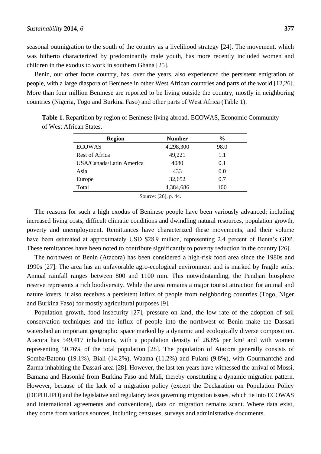seasonal outmigration to the south of the country as a livelihood strategy [24]. The movement, which was hitherto characterized by predominantly male youth, has more recently included women and children in the exodus to work in southern Ghana [25].

Benin, our other focus country, has, over the years, also experienced the persistent emigration of people, with a large diaspora of Beninese in other West African countries and parts of the world [12,26]. More than four million Beninese are reported to be living outside the country, mostly in neighboring countries (Nigeria, Togo and Burkina Faso) and other parts of West Africa (Table 1).

| <b>Region</b>            | <b>Number</b> | $\frac{6}{9}$ |
|--------------------------|---------------|---------------|
| <b>ECOWAS</b>            | 4,298,300     | 98.0          |
| Rest of Africa           | 49,221        | 1.1           |
| USA/Canada/Latin America | 4080          | 0.1           |
| Asia                     | 433           | 0.0           |
| Europe                   | 32,652        | 0.7           |
| Total                    | 4,384,686     | 100           |

**Table 1.** Repartition by region of Beninese living abroad. ECOWAS, Economic Community of West African States.

Source: [26], p. 44.

The reasons for such a high exodus of Beninese people have been variously advanced; including increased living costs, difficult climatic conditions and dwindling natural resources, population growth, poverty and unemployment. Remittances have characterized these movements, and their volume have been estimated at approximately USD \$28.9 million, representing 2.4 percent of Benin's GDP. These remittances have been noted to contribute significantly to poverty reduction in the country [26].

The northwest of Benin (Atacora) has been considered a high-risk food area since the 1980s and 1990s [27]. The area has an unfavorable agro-ecological environment and is marked by fragile soils. Annual rainfall ranges between 800 and 1100 mm. This notwithstanding, the Pendjari biosphere reserve represents a rich biodiversity. While the area remains a major tourist attraction for animal and nature lovers, it also receives a persistent influx of people from neighboring countries (Togo, Niger and Burkina Faso) for mostly agricultural purposes [9].

Population growth, food insecurity [27], pressure on land, the low rate of the adoption of soil conservation techniques and the influx of people into the northwest of Benin make the Dassari watershed an important geographic space marked by a dynamic and ecologically diverse composition. Atacora has 549,417 inhabitants, with a population density of 26.8% per km² and with women representing 50.76% of the total population [28]. The population of Atacora generally consists of Somba/Batonu (19.1%), Biali (14.2%), Waama (11.2%) and Fulani (9.8%), with Gourmantch é and Zarma inhabiting the Dassari area [28]. However, the last ten years have witnessed the arrival of Mossi, Bamana and Hasonk é from Burkina Faso and Mali, thereby constituting a dynamic migration pattern. However, because of the lack of a migration policy (except the Declaration on Population Policy (DEPOLIPO) and the legislative and regulatory texts governing migration issues, which tie into ECOWAS and international agreements and conventions), data on migration remains scant. Where data exist, they come from various sources, including censuses, surveys and administrative documents.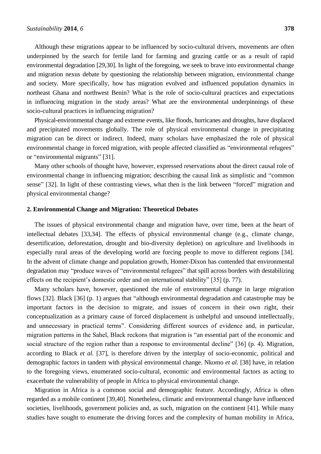Although these migrations appear to be influenced by socio-cultural drivers, movements are often underpinned by the search for fertile land for farming and grazing cattle or as a result of rapid environmental degradation [29,30]. In light of the foregoing, we seek to brave into environmental change and migration nexus debate by questioning the relationship between migration, environmental change and society. More specifically, how has migration evolved and influenced population dynamics in northeast Ghana and northwest Benin? What is the role of socio-cultural practices and expectations in influencing migration in the study areas? What are the environmental underpinnings of these socio-cultural practices in influencing migration?

Physical-environmental change and extreme events, like floods, hurricanes and droughts, have displaced and precipitated movements globally. The role of physical environmental change in precipitating migration can be direct or indirect. Indeed, many scholars have emphasized the role of physical environmental change in forced migration, with people affected classified as "environmental refugees" or "environmental migrants" [31].

Many other schools of thought have, however, expressed reservations about the direct causal role of environmental change in influencing migration; describing the causal link as simplistic and "common sense" [32]. In light of these contrasting views, what then is the link between "forced" migration and physical environmental change?

# **2. Environmental Change and Migration: Theoretical Debates**

The issues of physical environmental change and migration have, over time, been at the heart of intellectual debates [33,34]. The effects of physical environmental change (e.g., climate change, desertification, deforestation, drought and bio-diversity depletion) on agriculture and livelihoods in especially rural areas of the developing world are forcing people to move to different regions [34]. In the advent of climate change and population growth, Homer-Dixon has contended that environmental degradation may "produce waves of "environmental refugees" that spill across borders with destabilizing effects on the recipient's domestic order and on international stability" [35] (p. 77).

Many scholars have, however, questioned the role of environmental change in large migration flows [32]. Black [36] (p. 1) argues that "although environmental degradation and catastrophe may be important factors in the decision to migrate, and issues of concern in their own right, their conceptualization as a primary cause of forced displacement is unhelpful and unsound intellectually, and unnecessary in practical terms". Considering different sources of evidence and, in particular, migration patterns in the Sahel, Black reckons that migration is "an essential part of the economic and social structure of the region rather than a response to environmental decline" [36] (p. 4). Migration, according to Black *et al.* [37], is therefore driven by the interplay of socio-economic, political and demographic factors in tandem with physical environmental change. Nkomo *et al.* [38] have, in relation to the foregoing views, enumerated socio-cultural, economic and environmental factors as acting to exacerbate the vulnerability of people in Africa to physical environmental change.

Migration in Africa is a common social and demographic feature. Accordingly, Africa is often regarded as a mobile continent [39,40]. Nonetheless, climatic and environmental change have influenced societies, livelihoods, government policies and, as such, migration on the continent [41]. While many studies have sought to enumerate the driving forces and the complexity of human mobility in Africa,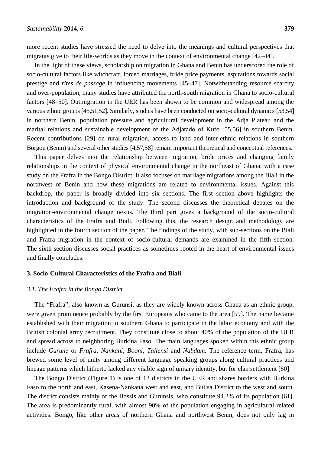more recent studies have stressed the need to delve into the meanings and cultural perspectives that migrants give to their life-worlds as they move in the context of environmental change [42–44].

In the light of these views, scholarship on migration in Ghana and Benin has underscored the role of socio-cultural factors like witchcraft, forced marriages, bride price payments, aspirations towards social prestige and *rites de passage* in influencing movements [45–47]. Notwithstanding resource scarcity and over-population, many studies have attributed the north-south migration in Ghana to socio-cultural factors [48–50]. Outmigration in the UER has been shown to be common and widespread among the various ethnic groups [45,51,52]. Similarly, studies have been conducted on socio-cultural dynamics [53,54] in northern Benin, population pressure and agricultural development in the Adja Plateau and the marital relations and sustainable development of the Adjatado of Kufo [55,56] in southern Benin. Recent contributions [29] on rural migration, access to land and inter-ethnic relations in southern Borgou (Benin) and several other studies [4,57,58] remain important theoretical and conceptual references.

This paper delves into the relationship between migration, bride prices and changing family relationships in the context of physical environmental change in the northeast of Ghana, with a case study on the Frafra in the Bongo District. It also focuses on marriage migrations among the Biali in the northwest of Benin and how these migrations are related to environmental issues. Against this backdrop, the paper is broadly divided into six sections. The first section above highlights the introduction and background of the study. The second discusses the theoretical debates on the migration-environmental change nexus. The third part gives a background of the socio-cultural characteristics of the Frafra and Biali. Following this, the research design and methodology are highlighted in the fourth section of the paper. The findings of the study, with sub-sections on the Biali and Frafra migration in the context of socio-cultural demands are examined in the fifth section. The sixth section discusses social practices as sometimes rooted in the heart of environmental issues and finally concludes.

#### **3. Socio-Cultural Characteristics of the Frafra and Biali**

#### *3.1. The Frafra in the Bongo District*

The "Frafra", also known as Gurunsi, as they are widely known across Ghana as an ethnic group, were given prominence probably by the first Europeans who came to the area [59]. The name became established with their migration to southern Ghana to participate in the labor economy and with the British colonial army recruitment. They constitute close to about 40% of the population of the UER and spread across to neighboring Burkina Faso. The main languages spoken within this ethnic group include *Gurune* or *Frafra, Nankani, Booni, Tallensi* and *Nabdam*. The reference term, Frafra, has brewed some level of unity among different language speaking groups along cultural practices and lineage patterns which hitherto lacked any visible sign of unitary identity, but for clan settlement [60].

The Bongo District (Figure 1) is one of 13 districts in the UER and shares borders with Burkina Faso to the north and east, Kasena-Nankana west and east, and Builsa District to the west and south. The district consists mainly of the Bossis and Gurunsis, who constitute 94.2% of its population [61]. The area is predominantly rural, with almost 90% of the population engaging in agricultural-related activities. Bongo, like other areas of northern Ghana and northwest Benin, does not only lag in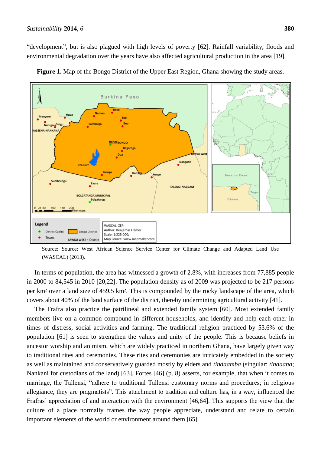"development", but is also plagued with high levels of poverty [62]. Rainfall variability, floods and environmental degradation over the years have also affected agricultural production in the area [19].



**Figure 1.** Map of the Bongo District of the Upper East Region, Ghana showing the study areas.

Source: Source: West African Science Service Center for Climate Change and Adapted Land Use (WASCAL) (2013).

In terms of population, the area has witnessed a growth of 2.8%, with increases from 77,885 people in 2000 to 84,545 in 2010 [20,22]. The population density as of 2009 was projected to be 217 persons per km<sup>2</sup>over a land size of 459.5 km<sup>2</sup>. This is compounded by the rocky landscape of the area, which covers about 40% of the land surface of the district, thereby undermining agricultural activity [41].

The Frafra also practice the patrilineal and extended family system [60]. Most extended family members live on a common compound in different households, and identify and help each other in times of distress, social activities and farming. The traditional religion practiced by 53.6% of the population [61] is seen to strengthen the values and unity of the people. This is because beliefs in ancestor worship and animism, which are widely practiced in northern Ghana, have largely given way to traditional rites and ceremonies. These rites and ceremonies are intricately embedded in the society as well as maintained and conservatively guarded mostly by elders and *tindaamba* (singular: *tindaana*; Nankani for custodians of the land) [63]. Fortes [46] (p. 8) asserts, for example, that when it comes to marriage, the Tallensi, "adhere to traditional Tallensi customary norms and procedures; in religious allegiance, they are pragmatists". This attachment to tradition and culture has, in a way, influenced the Frafras' appreciation of and interaction with the environment [46,64]. This supports the view that the culture of a place normally frames the way people appreciate, understand and relate to certain important elements of the world or environment around them [65].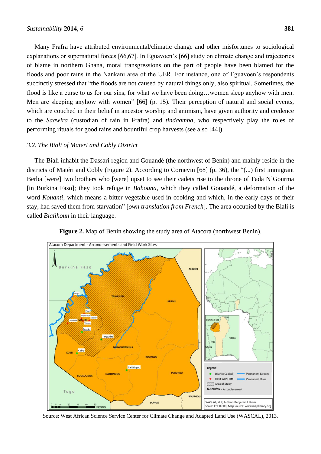Many Frafra have attributed environmental/climatic change and other misfortunes to sociological explanations or supernatural forces [66,67]. In Eguavoen's [66] study on climate change and trajectories of blame in northern Ghana, moral transgressions on the part of people have been blamed for the floods and poor rains in the Nankani area of the UER. For instance, one of Eguavoen's respondents succinctly stressed that "the floods are not caused by natural things only, also spiritual. Sometimes, the flood is like a curse to us for our sins, for what we have been doing...women sleep anyhow with men. Men are sleeping anyhow with women" [66] (p. 15). Their perception of natural and social events, which are couched in their belief in ancestor worship and animism, have given authority and credence to the *Saawira* (custodian of rain in Frafra) and *tindaamba*, who respectively play the roles of performing rituals for good rains and bountiful crop harvests (see also [44]).

# *3.2. The Biali of Materi and Cobly District*

The Biali inhabit the Dassari region and Gouand  $\acute{e}$  (the northwest of Benin) and mainly reside in the districts of Matéri and Cobly (Figure 2). According to Cornevin [68] (p. 36), the "(...) first immigrant Berba [were] two brothers who [were] upset to see their cadets rise to the throne of Fada N'Gourma [in Burkina Faso]; they took refuge in *Bahouna,* which they called Gouandé, a deformation of the word *Kouanti,* which means a bitter vegetable used in cooking and which, in the early days of their stay, had saved them from starvation" [*own translation from French*]. The area occupied by the Biali is called *Bialihoun* in their language.



**Figure 2.** Map of Benin showing the study area of Atacora (northwest Benin).

Source: West African Science Service Center for Climate Change and Adapted Land Use (WASCAL), 2013.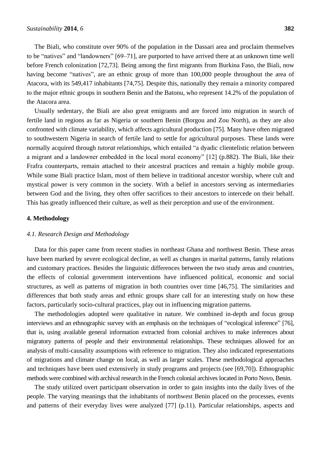The Biali, who constitute over 90% of the population in the Dassari area and proclaim themselves to be "natives" and "landowners" [69–71], are purported to have arrived there at an unknown time well before French colonization [72,73]. Being among the first migrants from Burkina Faso, the Biali, now having become "natives", are an ethnic group of more than 100,000 people throughout the area of Atacora, with its 549,417 inhabitants [74,75]. Despite this, nationally they remain a minority compared to the major ethnic groups in southern Benin and the Batonu, who represent 14.2% of the population of the Atacora area.

Usually sedentary, the Biali are also great emigrants and are forced into migration in search of fertile land in regions as far as Nigeria or southern Benin (Borgou and Zou North), as they are also confronted with climate variability, which affects agricultural production [75]. Many have often migrated to southwestern Nigeria in search of fertile land to settle for agricultural purposes. These lands were normally acquired through *tutorat* relationships, which entailed "a dyadic clientelistic relation between a migrant and a landowner embedded in the local moral economy" [12] (p.882). The Biali, like their Frafra counterparts, remain attached to their ancestral practices and remain a highly mobile group. While some Biali practice Islam, most of them believe in traditional ancestor worship, where cult and mystical power is very common in the society. With a belief in ancestors serving as intermediaries between God and the living, they often offer sacrifices to their ancestors to intercede on their behalf. This has greatly influenced their culture, as well as their perception and use of the environment.

# **4. Methodology**

# *4.1. Research Design and Methodology*

Data for this paper came from recent studies in northeast Ghana and northwest Benin. These areas have been marked by severe ecological decline, as well as changes in marital patterns, family relations and customary practices. Besides the linguistic differences between the two study areas and countries, the effects of colonial government interventions have influenced political, economic and social structures, as well as patterns of migration in both countries over time [46,75]. The similarities and differences that both study areas and ethnic groups share call for an interesting study on how these factors, particularly socio-cultural practices, play out in influencing migration patterns.

The methodologies adopted were qualitative in nature. We combined in-depth and focus group interviews and an ethnographic survey with an emphasis on the techniques of "ecological inference" [76], that is, using available general information extracted from colonial archives to make inferences about migratory patterns of people and their environmental relationships. These techniques allowed for an analysis of multi-causality assumptions with reference to migration. They also indicated representations of migrations and climate change on local, as well as larger scales. These methodological approaches and techniques have been used extensively in study programs and projects (see [69,70]). Ethnographic methods were combined with archival research in the French colonial archives located in Porto Novo, Benin.

The study utilized overt participant observation in order to gain insights into the daily lives of the people. The varying meanings that the inhabitants of northwest Benin placed on the processes, events and patterns of their everyday lives were analyzed [77] (p.11). Particular relationships, aspects and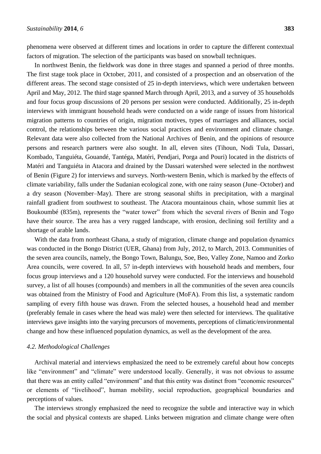phenomena were observed at different times and locations in order to capture the different contextual factors of migration. The selection of the participants was based on snowball techniques.

In northwest Benin, the fieldwork was done in three stages and spanned a period of three months. The first stage took place in October, 2011, and consisted of a prospection and an observation of the different areas. The second stage consisted of 25 in-depth interviews, which were undertaken between April and May, 2012. The third stage spanned March through April, 2013, and a survey of 35 households and four focus group discussions of 20 persons per session were conducted. Additionally, 25 in-depth interviews with immigrant household heads were conducted on a wide range of issues from historical migration patterns to countries of origin, migration motives, types of marriages and alliances, social control, the relationships between the various social practices and environment and climate change. Relevant data were also collected from the National Archives of Benin, and the opinions of resource persons and research partners were also sought. In all, eleven sites (Tihoun, Nodi Tula, Dassari, Kombado, Tangui éta, Gouand é, Tantéga, Matéri, Pendjari, Porga and Pouri) located in the districts of Mat  $\acute{e}$  and Tangui  $\acute{e}$  a in Atacora and drained by the Dassari watershed were selected in the northwest of Benin (Figure 2) for interviews and surveys. North-western Benin, which is marked by the effects of climate variability, falls under the Sudanian ecological zone, with one rainy season (June–October) and a dry season (November–May). There are strong seasonal shifts in precipitation, with a marginal rainfall gradient from southwest to southeast. The Atacora mountainous chain, whose summit lies at Boukoumbé (835m), represents the "water tower" from which the several rivers of Benin and Togo have their source. The area has a very rugged landscape, with erosion, declining soil fertility and a shortage of arable lands.

With the data from northeast Ghana, a study of migration, climate change and population dynamics was conducted in the Bongo District (UER, Ghana) from July, 2012, to March, 2013. Communities of the seven area councils, namely, the Bongo Town, Balungu, Soe, Beo, Valley Zone, Namoo and Zorko Area councils, were covered. In all, 57 in-depth interviews with household heads and members, four focus group interviews and a 120 household survey were conducted. For the interviews and household survey, a list of all houses (compounds) and members in all the communities of the seven area councils was obtained from the Ministry of Food and Agriculture (MoFA). From this list, a systematic random sampling of every fifth house was drawn. From the selected houses, a household head and member (preferably female in cases where the head was male) were then selected for interviews. The qualitative interviews gave insights into the varying precursors of movements, perceptions of climatic/environmental change and how these influenced population dynamics, as well as the development of the area.

#### *4.2. Methodological Challenges*

Archival material and interviews emphasized the need to be extremely careful about how concepts like "environment" and "climate" were understood locally. Generally, it was not obvious to assume that there was an entity called "environment" and that this entity was distinct from "economic resources" or elements of "livelihood", human mobility, social reproduction, geographical boundaries and perceptions of values.

The interviews strongly emphasized the need to recognize the subtle and interactive way in which the social and physical contexts are shaped. Links between migration and climate change were often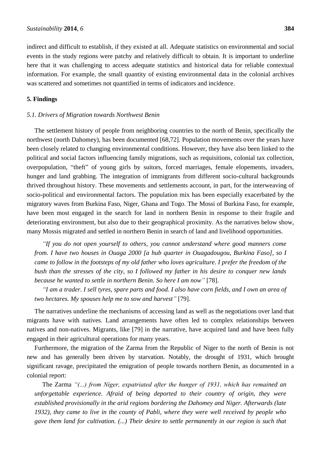indirect and difficult to establish, if they existed at all. Adequate statistics on environmental and social events in the study regions were patchy and relatively difficult to obtain. It is important to underline here that it was challenging to access adequate statistics and historical data for reliable contextual information. For example, the small quantity of existing environmental data in the colonial archives was scattered and sometimes not quantified in terms of indicators and incidence.

# **5. Findings**

# *5.1. Drivers of Migration towards Northwest Benin*

The settlement history of people from neighboring countries to the north of Benin, specifically the northwest (north Dahomey), has been documented [68,72]. Population movements over the years have been closely related to changing environmental conditions. However, they have also been linked to the political and social factors influencing family migrations, such as requisitions, colonial tax collection, overpopulation, "theft" of young girls by suitors, forced marriages, female elopements, invaders, hunger and land grabbing. The integration of immigrants from different socio-cultural backgrounds thrived throughout history. These movements and settlements account, in part, for the interweaving of socio-political and environmental factors. The population mix has been especially exacerbated by the migratory waves from Burkina Faso, Niger, Ghana and Togo. The Mossi of Burkina Faso, for example, have been most engaged in the search for land in northern Benin in response to their fragile and deteriorating environment, but also due to their geographical proximity. As the narratives below show, many Mossis migrated and settled in northern Benin in search of land and livelihood opportunities.

*"If you do not open yourself to others, you cannot understand where good manners come from. I have two houses in Ouaga 2000 [a hub quarter in Ouagadougou, Burkina Faso], so I came to follow in the footsteps of my old father who loves agriculture. I prefer the freedom of the bush than the stresses of the city, so I followed my father in his desire to conquer new lands because he wanted to settle in northern Benin. So here I am now"* [78].

*"I am a trader. I sell tyres, spare parts and food. I also have corn fields, and I own an area of two hectares. My spouses help me to sow and harvest"* [79].

The narratives underline the mechanisms of accessing land as well as the negotiations over land that migrants have with natives. Land arrangements have often led to complex relationships between natives and non-natives. Migrants, like [79] in the narrative, have acquired land and have been fully engaged in their agricultural operations for many years.

Furthermore, the migration of the Zarma from the Republic of Niger to the north of Benin is not new and has generally been driven by starvation. Notably, the drought of 1931, which brought significant ravage, precipitated the emigration of people towards northern Benin, as documented in a colonial report:

The Zarma *"(...) from Niger, expatriated after the hunger of 1931, which has remained an unforgettable experience. Afraid of being deported to their country of origin, they were established provisionally in the arid regions bordering the Dahomey and Niger. Afterwards (late 1932), they came to live in the county of Pabli, where they were well received by people who gave them land for cultivation. (...) Their desire to settle permanently in our region is such that*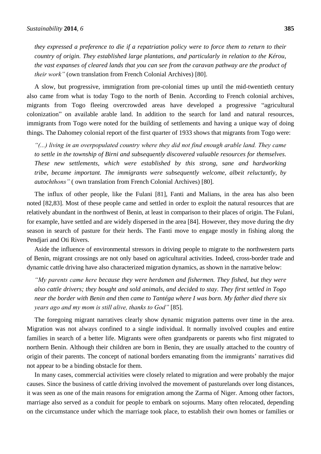*they expressed a preference to die if a repatriation policy were to force them to return to their country of origin. They established large plantations, and particularly in relation to the Kérou, the vast expanses of cleared lands that you can see from the caravan pathway are the product of their work"* (own translation from French Colonial Archives) [80].

A slow, but progressive, immigration from pre-colonial times up until the mid-twentieth century also came from what is today Togo to the north of Benin. According to French colonial archives, migrants from Togo fleeing overcrowded areas have developed a progressive "agricultural colonization" on available arable land. In addition to the search for land and natural resources, immigrants from Togo were noted for the building of settlements and having a unique way of doing things. The Dahomey colonial report of the first quarter of 1933 shows that migrants from Togo were:

*"(...) living in an overpopulated country where they did not find enough arable land. They came to settle in the township of Birni and subsequently discovered valuable resources for themselves. These new settlements, which were established by this strong, sane and hardworking tribe, became important. The immigrants were subsequently welcome, albeit reluctantly, by autochthons"* ( own translation from French Colonial Archives) [80].

The influx of other people, like the Fulani [81], Fanti and Malians, in the area has also been noted [82,83]. Most of these people came and settled in order to exploit the natural resources that are relatively abundant in the northwest of Benin, at least in comparison to their places of origin. The Fulani, for example, have settled and are widely dispersed in the area [84]. However, they move during the dry season in search of pasture for their herds. The Fanti move to engage mostly in fishing along the Pendjari and Oti Rivers.

Aside the influence of environmental stressors in driving people to migrate to the northwestern parts of Benin, migrant crossings are not only based on agricultural activities. Indeed, cross-border trade and dynamic cattle driving have also characterized migration dynamics, as shown in the narrative below:

*"My parents came here because they were herdsmen and fishermen. They fished, but they were also cattle drivers; they bought and sold animals, and decided to stay. They first settled in Togo near the border with Benin and then came to Tantéga where I was born. My father died there six years ago and my mom is still alive, thanks to God"* [85].

The foregoing migrant narratives clearly show dynamic migration patterns over time in the area. Migration was not always confined to a single individual. It normally involved couples and entire families in search of a better life. Migrants were often grandparents or parents who first migrated to northern Benin. Although their children are born in Benin, they are usually attached to the country of origin of their parents. The concept of national borders emanating from the immigrants' narratives did not appear to be a binding obstacle for them.

In many cases, commercial activities were closely related to migration and were probably the major causes. Since the business of cattle driving involved the movement of pasturelands over long distances, it was seen as one of the main reasons for emigration among the Zarma of Niger. Among other factors, marriage also served as a conduit for people to embark on sojourns. Many often relocated, depending on the circumstance under which the marriage took place, to establish their own homes or families or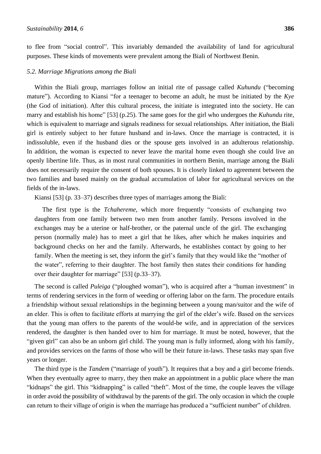to flee from "social control". This invariably demanded the availability of land for agricultural purposes. These kinds of movements were prevalent among the Biali of Northwest Benin.

#### *5.2. Marriage Migrations among the Biali*

Within the Biali group, marriages follow an initial rite of passage called *Kuhundu* ("becoming mature"). According to Kiansi "for a teenager to become an adult, he must be initiated by the *Kye* (the God of initiation). After this cultural process, the initiate is integrated into the society. He can marry and establish his home" [53] (p.25). The same goes for the girl who undergoes the *Kuhundu* rite, which is equivalent to marriage and signals readiness for sexual relationships. After initiation, the Biali girl is entirely subject to her future husband and in-laws. Once the marriage is contracted, it is indissoluble, even if the husband dies or the spouse gets involved in an adulterous relationship. In addition, the woman is expected to never leave the marital home even though she could live an openly libertine life. Thus, as in most rural communities in northern Benin, marriage among the Biali does not necessarily require the consent of both spouses. It is closely linked to agreement between the two families and based mainly on the gradual accumulation of labor for agricultural services on the fields of the in-laws.

Kiansi [53] (p. 33–37) describes three types of marriages among the Biali:

The first type is the *Tchahereme*, which more frequently "consists of exchanging two daughters from one family between two men from another family. Persons involved in the exchanges may be a uterine or half-brother, or the paternal uncle of the girl. The exchanging person (normally male) has to meet a girl that he likes, after which he makes inquiries and background checks on her and the family. Afterwards, he establishes contact by going to her family. When the meeting is set, they inform the girl's family that they would like the "mother of the water", referring to their daughter. The host family then states their conditions for handing over their daughter for marriage" [53] (p.33–37).

The second is called *Puleiga* ("ploughed woman"), who is acquired after a "human investment" in terms of rendering services in the form of weeding or offering labor on the farm. The procedure entails a friendship without sexual relationships in the beginning between a young man/suitor and the wife of an elder. This is often to facilitate efforts at marrying the girl of the elder's wife. Based on the services that the young man offers to the parents of the would-be wife, and in appreciation of the services rendered, the daughter is then handed over to him for marriage. It must be noted, however, that the "given girl" can also be an unborn girl child. The young man is fully informed, along with his family, and provides services on the farms of those who will be their future in-laws. These tasks may span five years or longer.

The third type is the *Tandem* ("marriage of youth"). It requires that a boy and a girl become friends. When they eventually agree to marry, they then make an appointment in a public place where the man "kidnaps" the girl. This "kidnapping" is called "theft". Most of the time, the couple leaves the village in order avoid the possibility of withdrawal by the parents of the girl. The only occasion in which the couple can return to their village of origin is when the marriage has produced a "sufficient number" of children.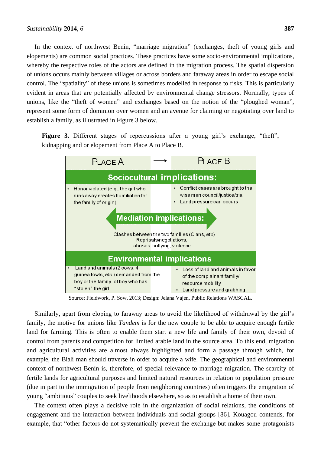In the context of northwest Benin, "marriage migration" (exchanges, theft of young girls and elopements) are common social practices. These practices have some socio-environmental implications, whereby the respective roles of the actors are defined in the migration process. The spatial dispersion of unions occurs mainly between villages or across borders and faraway areas in order to escape social control. The "spatiality" of these unions is sometimes modelled in response to risks. This is particularly evident in areas that are potentially affected by environmental change stressors. Normally, types of unions, like the "theft of women" and exchanges based on the notion of the "ploughed woman", represent some form of dominion over women and an avenue for claiming or negotiating over land to establish a family, as illustrated in Figure 3 below.

Figure 3. Different stages of repercussions after a young girl's exchange, "theft", kidnapping and or elopement from Place A to Place B.



Source: Fieldwork, P. Sow, 2013; Design: Jelana Vajen, Public Relations WASCAL.

Similarly, apart from eloping to faraway areas to avoid the likelihood of withdrawal by the girl's family, the motive for unions like *Tandem* is for the new couple to be able to acquire enough fertile land for farming. This is often to enable them start a new life and family of their own, devoid of control from parents and competition for limited arable land in the source area. To this end, migration and agricultural activities are almost always highlighted and form a passage through which, for example, the Biali man should traverse in order to acquire a wife. The geographical and environmental context of northwest Benin is, therefore, of special relevance to marriage migration. The scarcity of fertile lands for agricultural purposes and limited natural resources in relation to population pressure (due in part to the immigration of people from neighboring countries) often triggers the emigration of young "ambitious" couples to seek livelihoods elsewhere, so as to establish a home of their own.

The context often plays a decisive role in the organization of social relations, the conditions of engagement and the interaction between individuals and social groups [86]. Kouagou contends, for example, that "other factors do not systematically prevent the exchange but makes some protagonists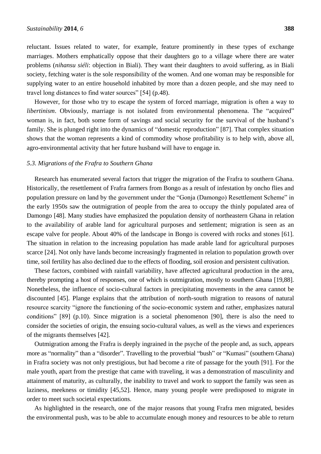reluctant. Issues related to water, for example, feature prominently in these types of exchange marriages. Mothers emphatically oppose that their daughters go to a village where there are water problems (*nihansu siéli*: objection in Biali). They want their daughters to avoid suffering, as in Biali society, fetching water is the sole responsibility of the women. And one woman may be responsible for supplying water to an entire household inhabited by more than a dozen people, and she may need to travel long distances to find water sources" [54] (p.48).

However, for those who try to escape the system of forced marriage, migration is often a way to *libertinism*. Obviously, marriage is not isolated from environmental phenomena. The "acquired" woman is, in fact, both some form of savings and social security for the survival of the husband's family. She is plunged right into the dynamics of "domestic reproduction" [87]. That complex situation shows that the woman represents a kind of commodity whose profitability is to help with, above all, agro-environmental activity that her future husband will have to engage in.

#### *5.3. Migrations of the Frafra to Southern Ghana*

Research has enumerated several factors that trigger the migration of the Frafra to southern Ghana. Historically, the resettlement of Frafra farmers from Bongo as a result of infestation by oncho flies and population pressure on land by the government under the "Gonja (Damongo) Resettlement Scheme" in the early 1950s saw the outmigration of people from the area to occupy the thinly populated area of Damongo [48]. Many studies have emphasized the population density of northeastern Ghana in relation to the availability of arable land for agricultural purposes and settlement; migration is seen as an escape valve for people. About 40% of the landscape in Bongo is covered with rocks and stones [61]. The situation in relation to the increasing population has made arable land for agricultural purposes scarce [24]. Not only have lands become increasingly fragmented in relation to population growth over time, soil fertility has also declined due to the effects of flooding, soil erosion and persistent cultivation.

These factors, combined with rainfall variability, have affected agricultural production in the area, thereby prompting a host of responses, one of which is outmigration, mostly to southern Ghana [19,88]. Nonetheless, the influence of socio-cultural factors in precipitating movements in the area cannot be discounted [45]. Plange explains that the attribution of north-south migration to reasons of natural resource scarcity "ignore the functioning of the socio-economic system and rather, emphasizes natural conditions" [89] (p.10). Since migration is a societal phenomenon [90], there is also the need to consider the societies of origin, the ensuing socio-cultural values, as well as the views and experiences of the migrants themselves [42].

Outmigration among the Frafra is deeply ingrained in the psyche of the people and, as such, appears more as "normality" than a "disorder". Travelling to the proverbial "bush" or "Kumasi" (southern Ghana) in Frafra society was not only prestigious, but had become a rite of passage for the youth [91]. For the male youth, apart from the prestige that came with traveling, it was a demonstration of masculinity and attainment of maturity, as culturally, the inability to travel and work to support the family was seen as laziness, meekness or timidity [45,52]. Hence, many young people were predisposed to migrate in order to meet such societal expectations.

As highlighted in the research, one of the major reasons that young Frafra men migrated, besides the environmental push, was to be able to accumulate enough money and resources to be able to return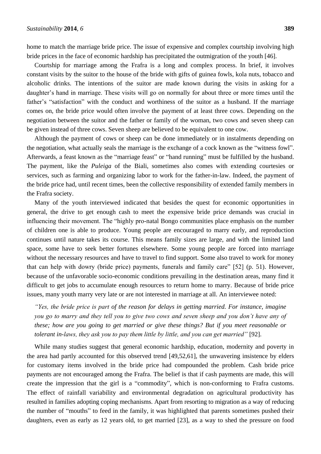home to match the marriage bride price. The issue of expensive and complex courtship involving high bride prices in the face of economic hardship has precipitated the outmigration of the youth [46].

Courtship for marriage among the Frafra is a long and complex process. In brief, it involves constant visits by the suitor to the house of the bride with gifts of guinea fowls, kola nuts, tobacco and alcoholic drinks. The intentions of the suitor are made known during the visits in asking for a daughter's hand in marriage. These visits will go on normally for about three or more times until the father's "satisfaction" with the conduct and worthiness of the suitor as a husband. If the marriage comes on, the bride price would often involve the payment of at least three cows. Depending on the negotiation between the suitor and the father or family of the woman, two cows and seven sheep can be given instead of three cows. Seven sheep are believed to be equivalent to one cow.

Although the payment of cows or sheep can be done immediately or in instalments depending on the negotiation, what actually seals the marriage is the exchange of a cock known as the "witness fowl". Afterwards, a feast known as the "marriage feast" or "hand running" must be fulfilled by the husband. The payment, like the *Puleiga* of the Biali, sometimes also comes with extending courtesies or services, such as farming and organizing labor to work for the father-in-law. Indeed, the payment of the bride price had, until recent times, been the collective responsibility of extended family members in the Frafra society.

Many of the youth interviewed indicated that besides the quest for economic opportunities in general, the drive to get enough cash to meet the expensive bride price demands was crucial in influencing their movement. The "highly pro-natal Bongo communities place emphasis on the number of children one is able to produce. Young people are encouraged to marry early, and reproduction continues until nature takes its course. This means family sizes are large, and with the limited land space, some have to seek better fortunes elsewhere. Some young people are forced into marriage without the necessary resources and have to travel to find support. Some also travel to work for money that can help with dowry (bride price) payments, funerals and family care" [52] (p. 51). However, because of the unfavorable socio-economic conditions prevailing in the destination areas, many find it difficult to get jobs to accumulate enough resources to return home to marry. Because of bride price issues, many youth marry very late or are not interested in marriage at all. An interviewee noted:

*"Yes, the bride price is part of the reason for delays in getting married. For instance, imagine you go to marry and they tell you to give two cows and seven sheep and you don't have any of these; how are you going to get married or give these things? But if you meet reasonable or tolerant in-laws, they ask you to pay them little by little, and you can get married"* [92].

While many studies suggest that general economic hardship, education, modernity and poverty in the area had partly accounted for this observed trend [49,52,61], the unwavering insistence by elders for customary items involved in the bride price had compounded the problem. Cash bride price payments are not encouraged among the Frafra. The belief is that if cash payments are made, this will create the impression that the girl is a "commodity", which is non-conforming to Frafra customs. The effect of rainfall variability and environmental degradation on agricultural productivity has resulted in families adopting coping mechanisms. Apart from resorting to migration as a way of reducing the number of "mouths" to feed in the family, it was highlighted that parents sometimes pushed their daughters, even as early as 12 years old, to get married [23], as a way to shed the pressure on food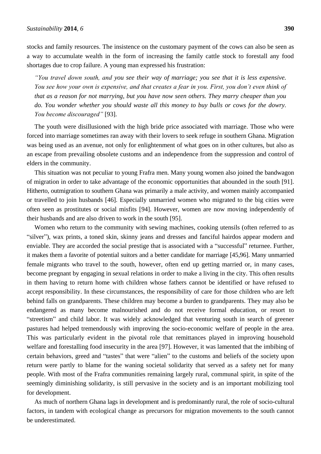stocks and family resources. The insistence on the customary payment of the cows can also be seen as a way to accumulate wealth in the form of increasing the family cattle stock to forestall any food shortages due to crop failure. A young man expressed his frustration:

*"You travel down south, and you see their way of marriage; you see that it is less expensive. You see how your own is expensive, and that creates a fear in you. First, you don't even think of that as a reason for not marrying, but you have now seen others. They marry cheaper than you do. You wonder whether you should waste all this money to buy bulls or cows for the dowry. You become discouraged"* [93].

The youth were disillusioned with the high bride price associated with marriage. Those who were forced into marriage sometimes ran away with their lovers to seek refuge in southern Ghana. Migration was being used as an avenue, not only for enlightenment of what goes on in other cultures, but also as an escape from prevailing obsolete customs and an independence from the suppression and control of elders in the community.

This situation was not peculiar to young Frafra men. Many young women also joined the bandwagon of migration in order to take advantage of the economic opportunities that abounded in the south [91]. Hitherto, outmigration to southern Ghana was primarily a male activity, and women mainly accompanied or travelled to join husbands [46]. Especially unmarried women who migrated to the big cities were often seen as prostitutes or social misfits [94]. However, women are now moving independently of their husbands and are also driven to work in the south [95].

Women who return to the community with sewing machines, cooking utensils (often referred to as "silver"), wax prints, a toned skin, skinny jeans and dresses and fanciful hairdos appear modern and enviable. They are accorded the social prestige that is associated with a "successful" returnee. Further, it makes them a favorite of potential suitors and a better candidate for marriage [45,96]. Many unmarried female migrants who travel to the south, however, often end up getting married or, in many cases, become pregnant by engaging in sexual relations in order to make a living in the city. This often results in them having to return home with children whose fathers cannot be identified or have refused to accept responsibility. In these circumstances, the responsibility of care for those children who are left behind falls on grandparents. These children may become a burden to grandparents. They may also be endangered as many become malnourished and do not receive formal education, or resort to "streetism" and child labor. It was widely acknowledged that venturing south in search of greener pastures had helped tremendously with improving the socio-economic welfare of people in the area. This was particularly evident in the pivotal role that remittances played in improving household welfare and forestalling food insecurity in the area [97]. However, it was lamented that the imbibing of certain behaviors, greed and "tastes" that were "alien" to the customs and beliefs of the society upon return were partly to blame for the waning societal solidarity that served as a safety net for many people. With most of the Frafra communities remaining largely rural, communal spirit, in spite of the seemingly diminishing solidarity, is still pervasive in the society and is an important mobilizing tool for development.

As much of northern Ghana lags in development and is predominantly rural, the role of socio-cultural factors, in tandem with ecological change as precursors for migration movements to the south cannot be underestimated.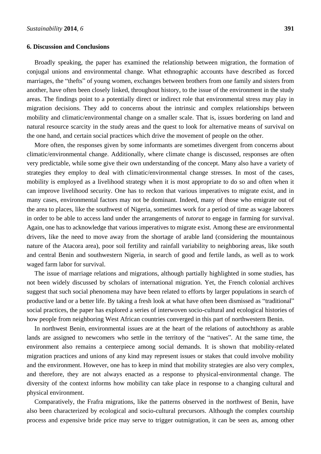#### **6. Discussion and Conclusions**

Broadly speaking, the paper has examined the relationship between migration, the formation of conjugal unions and environmental change. What ethnographic accounts have described as forced marriages, the "thefts" of young women, exchanges between brothers from one family and sisters from another, have often been closely linked, throughout history, to the issue of the environment in the study areas. The findings point to a potentially direct or indirect role that environmental stress may play in migration decisions. They add to concerns about the intrinsic and complex relationships between mobility and climatic/environmental change on a smaller scale. That is, issues bordering on land and natural resource scarcity in the study areas and the quest to look for alternative means of survival on the one hand, and certain social practices which drive the movement of people on the other.

More often, the responses given by some informants are sometimes divergent from concerns about climatic/environmental change. Additionally, where climate change is discussed, responses are often very predictable, while some give their own understanding of the concept. Many also have a variety of strategies they employ to deal with climatic/environmental change stresses. In most of the cases, mobility is employed as a livelihood strategy when it is most appropriate to do so and often when it can improve livelihood security. One has to reckon that various imperatives to migrate exist, and in many cases, environmental factors may not be dominant. Indeed, many of those who emigrate out of the area to places, like the southwest of Nigeria, sometimes work for a period of time as wage laborers in order to be able to access land under the arrangements of *tutorat* to engage in farming for survival. Again, one has to acknowledge that various imperatives to migrate exist. Among these are environmental drivers, like the need to move away from the shortage of arable land (considering the mountainous nature of the Atacora area), poor soil fertility and rainfall variability to neighboring areas, like south and central Benin and southwestern Nigeria, in search of good and fertile lands, as well as to work waged farm labor for survival.

The issue of marriage relations and migrations, although partially highlighted in some studies, has not been widely discussed by scholars of international migration. Yet, the French colonial archives suggest that such social phenomena may have been related to efforts by larger populations in search of productive land or a better life. By taking a fresh look at what have often been dismissed as "traditional" social practices, the paper has explored a series of interwoven socio-cultural and ecological histories of how people from neighboring West African countries converged in this part of northwestern Benin.

In northwest Benin, environmental issues are at the heart of the relations of autochthony as arable lands are assigned to newcomers who settle in the territory of the "natives". At the same time, the environment also remains a centerpiece among social demands. It is shown that mobility-related migration practices and unions of any kind may represent issues or stakes that could involve mobility and the environment. However, one has to keep in mind that mobility strategies are also very complex, and therefore, they are not always enacted as a response to physical-environmental change. The diversity of the context informs how mobility can take place in response to a changing cultural and physical environment.

Comparatively, the Frafra migrations, like the patterns observed in the northwest of Benin, have also been characterized by ecological and socio-cultural precursors. Although the complex courtship process and expensive bride price may serve to trigger outmigration, it can be seen as, among other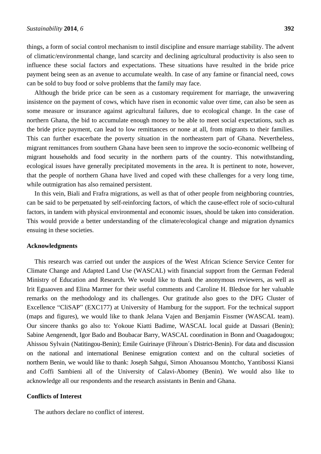things, a form of social control mechanism to instil discipline and ensure marriage stability. The advent of climatic/environmental change, land scarcity and declining agricultural productivity is also seen to influence these social factors and expectations. These situations have resulted in the bride price payment being seen as an avenue to accumulate wealth. In case of any famine or financial need, cows can be sold to buy food or solve problems that the family may face.

Although the bride price can be seen as a customary requirement for marriage, the unwavering insistence on the payment of cows, which have risen in economic value over time, can also be seen as some measure or insurance against agricultural failures, due to ecological change. In the case of northern Ghana, the bid to accumulate enough money to be able to meet social expectations, such as the bride price payment, can lead to low remittances or none at all, from migrants to their families. This can further exacerbate the poverty situation in the northeastern part of Ghana. Nevertheless, migrant remittances from southern Ghana have been seen to improve the socio-economic wellbeing of migrant households and food security in the northern parts of the country. This notwithstanding, ecological issues have generally precipitated movements in the area. It is pertinent to note, however, that the people of northern Ghana have lived and coped with these challenges for a very long time, while outmigration has also remained persistent.

In this vein, Biali and Frafra migrations, as well as that of other people from neighboring countries, can be said to be perpetuated by self-reinforcing factors, of which the cause-effect role of socio-cultural factors, in tandem with physical environmental and economic issues, should be taken into consideration. This would provide a better understanding of the climate/ecological change and migration dynamics ensuing in these societies.

#### **Acknowledgments**

This research was carried out under the auspices of the West African Science Service Center for Climate Change and Adapted Land Use (WASCAL) with financial support from the German Federal Ministry of Education and Research. We would like to thank the anonymous reviewers, as well as Irit Eguaoven and Elina Marmer for their useful comments and Caroline H. Bledsoe for her valuable remarks on the methodology and its challenges. Our gratitude also goes to the DFG Cluster of Excellence "CliSAP" (EXC177) at University of Hamburg for the support. For the technical support (maps and figures), we would like to thank Jelana Vajen and Benjamin Fissmer (WASCAL team). Our sincere thanks go also to: Yokoue Kiatti Badime, WASCAL local guide at Dassari (Benin); Sabine Aengenendt, Igor Bado and Boubacar Barry, WASCAL coordination in Bonn and Ouagadougou; Ahissou Sylvain (Natitingou-Benin); Emile Guirinaye (Fihroun´s District-Benin). For data and discussion on the national and international Beninese emigration context and on the cultural societies of northern Benin, we would like to thank: Joseph Sahgui, Simon Ahouansou Montcho, Yantibossi Kiansi and Coffi Sambieni all of the University of Calavi-Abomey (Benin). We would also like to acknowledge all our respondents and the research assistants in Benin and Ghana.

#### **Conflicts of Interest**

The authors declare no conflict of interest.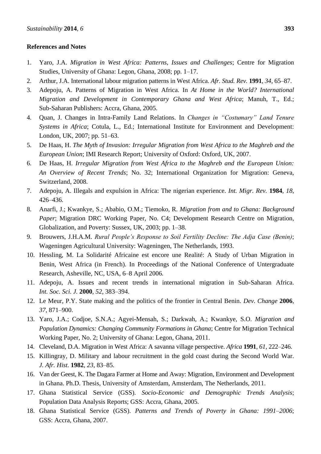# **References and Notes**

- 1. Yaro, J.A. *Migration in West Africa: Patterns, Issues and Challenges*; Centre for Migration Studies, University of Ghana: Legon, Ghana, 2008; pp. 1–17.
- 2. Arthur, J.A. International labour migration patterns in West Africa. *Afr. Stud. Rev.* **1991**, *34*, 65–87.
- 3. Adepoju, A. Patterns of Migration in West Africa. In *At Home in the World? International Migration and Development in Contemporary Ghana and West Africa*; Manuh, T., Ed.; Sub-Saharan Publishers: Accra, Ghana, 2005.
- 4. Quan, J. Changes in Intra-Family Land Relations. In *Changes in "Costumary" Land Tenure Systems in Africa*; Cotula, L., Ed.; International Institute for Environment and Development: London, UK, 2007; pp. 51–63.
- 5. De Haas, H. *The Myth of Invasion: Irregular Migration from West Africa to the Maghreb and the European Union*; IMI Research Report; University of Oxford: Oxford, UK, 2007.
- 6. De Haas, H. *Irregular Migration from West Africa to the Maghreb and the European Union: An Overview of Recent Trends*; No. 32; International Organization for Migration: Geneva, Switzerland, 2008.
- 7. Adepoju, A. Illegals and expulsion in Africa: The nigerian experience. *Int. Migr. Rev.* **1984**, *18*, 426–436.
- 8. Anarfi, J.; Kwankye, S.; Ababio, O.M.; Tiemoko, R. *Migration from and to Ghana: Background Paper*; Migration DRC Working Paper, No. C4; Development Research Centre on Migration, Globalization, and Poverty: Sussex, UK, 2003; pp. 1–38.
- 9. Brouwers, J.H.A.M. *Rural People's Response to Soil Fertility Decline: The Adja Case (Benin)*; Wageningen Agricultural University: Wageningen, The Netherlands, 1993.
- 10. Hessling, M. La Solidarité Africaine est encore une Realité: A Study of Urban Migration in Benin, West Africa (in French). In Proceedings of the National Conference of Untergraduate Research, Asheville, NC, USA, 6–8 April 2006*.*
- 11. Adepoju, A. Issues and recent trends in international migration in Sub-Saharan Africa. *Int. Soc. Sci. J.* **2000**, *52*, 383–394.
- 12. Le Meur, P.Y. State making and the politics of the frontier in Central Benin. *Dev. Change* **2006**, *37*, 871–900.
- 13. Yaro, J.A.; Codjoe, S.N.A.; Agyei-Mensah, S.; Darkwah, A.; Kwankye, S.O. *Migration and Population Dynamics: Changing Community Formations in Ghana*; Centre for Migration Technical Working Paper, No. 2; University of Ghana: Legon, Ghana, 2011.
- 14. Cleveland, D.A. Migration in West Africa: A savanna village perspective. *[Africa](http://www.ncbi.nlm.nih.gov/pubmed/12317040)* **1991**, *61*, 222–246.
- 15. Killingray, D. Military and labour recruitment in the gold coast during the Second World War. *J. Afr. Hist.* **1982**, *23*, 83–85.
- 16. Van der Geest, K. The Dagara Farmer at Home and Away: Migration, Environment and Development in Ghana. Ph.D. Thesis, University of Amsterdam, Amsterdam, The Netherlands, 2011.
- 17. Ghana Statistical Service (GSS). *Socio-Economic and Demographic Trends Analysis*; Population Data Analysis Reports; GSS: Accra, Ghana, 2005.
- 18. Ghana Statistical Service (GSS). *Patterns and Trends of Poverty in Ghana: 1991–2006*; GSS: Accra, Ghana, 2007.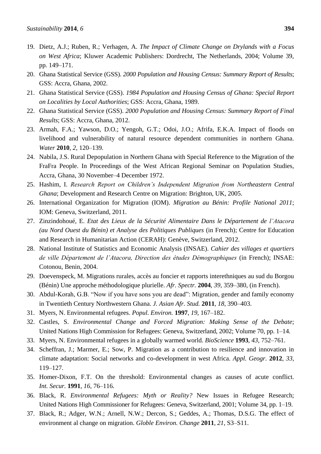- 19. Dietz, A.J.; Ruben, R.; Verhagen, A. *The Impact of Climate Change on Drylands with a Focus on West Africa*; Kluwer Academic Publishers: Dordrecht, The Netherlands, 2004; Volume 39, pp. 149–171.
- 20. Ghana Statistical Service (GSS). *2000 Population and Housing Census: Summary Report of Results*; GSS: Accra, Ghana, 2002.
- 21. Ghana Statistical Service (GSS). *1984 Population and Housing Census of Ghana: Special Report on Localities by Local Authorities*; GSS: Accra, Ghana, 1989.
- 22. Ghana Statistical Service (GSS). *2000 Population and Housing Census: Summary Report of Final Results*; GSS: Accra, Ghana, 2012.
- 23. Armah, F.A.; Yawson, D.O.; Yengoh, G.T.; Odoi, J.O.; Afrifa, E.K.A. Impact of floods on livelihood and vulnerability of natural resource dependent communities in northern Ghana. *Water* **2010**, *2*, 120–139.
- 24. Nabila, J.S. Rural Depopulation in Northern Ghana with Special Reference to the Migration of the FraFra People. In Proceedings of the West African Regional Seminar on Population Studies, Accra, Ghana, 30 November–4 December 1972.
- 25. Hashim, I. *Research Report on Children's Independent Migration from Northeastern Central Ghana*; Development and Research Centre on Migration: Brighton, UK, 2005.
- 26. International Organization for Migration (IOM). *Migration au Bénin: Profile National 2011*; IOM: Geneva, Switzerland, 2011.
- 27. Zinzindohoué, E. *Etat des Lieux de la Sécurité Alimentaire Dans le Département de l'Atacora (au Nord Ouest du Bénin) et Analyse des Politiques Publiques* (in French); Centre for Education and Research in Humanitarian Action (CERAH): Genève, Switzerland, 2012.
- 28. National Institute of Statistics and Economic Analysis (INSAE). *Cahier des villages et quartiers de ville Département de l'Atacora, Direction des études Démographiques* (in French); INSAE: Cotonou, Benin, 2004.
- 29. Doevenspeck, M. Migrations rurales, accès au foncier et rapports interethniques au sud du Borgou (Bénin) Une approche méthodologique plurielle. *Afr. Spectr.* **2004**, *39*, 359–380, (in French).
- 30. Abdul-Korah, G.B. "Now if you have sons you are dead": Migration, gender and family economy in Twentieth Century Northwestern Ghana. *J. Asian Afr. Stud.* **2011**, *18*, 390–403.
- 31. Myers, N. Environmental refugees. *Popul. Environ.* **1997**, *19*, 167–182.
- 32. Castles, S. *Environmental Change and Forced Migration: Making Sense of the Debate*; United Nations High Commission for Refugees: Geneva, Switzerland, 2002; Volume 70, pp. 1–14.
- 33. Myers, N. Environmental refugees in a globally warmed world. *BioScience* **1993**, *43*, 752–761.
- 34. Scheffran, J.; Marmer, E.; Sow, P. Migration as a contribution to resilience and innovation in climate adaptation: Social networks and co-development in west Africa. *Appl. Geogr.* **2012**, *33,*  119–127.
- 35. Homer-Dixon, F.T. On the threshold: Environmental changes as causes of acute conflict. *Int. Secur.* **1991**, *16*, 76–116.
- 36. Black, R. *Environmental Refugees: Myth or Reality?* New Issues in Refugee Research; United Nations High Commissioner for Refugees: Geneva, Switzerland, 2001; Volume 34, pp. 1–19.
- 37. Black, R.; Adger, W.N.; Arnell, N.W.; Dercon, S.; Geddes, A.; Thomas, D.S.G. The effect of environment al change on migration. *Globle Environ. Change* **2011**, *21*, S3–S11.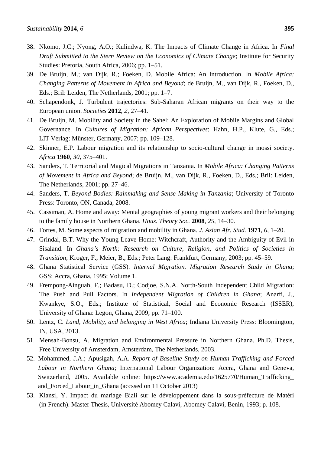- 38. Nkomo, J.C.; Nyong, A.O.; Kulindwa, K. The Impacts of Climate Change in Africa. In *Final Draft Submitted to the Stern Review on the Economics of Climate Change*; Institute for Security Studies: Pretoria, South Africa, 2006; pp. 1–51.
- 39. De Bruijn, M.; van Dijk, R.; Foeken, D. Mobile Africa: An Introduction. In *Mobile Africa: Changing Patterns of Movement in Africa and Beyond*; de Bruijn, M., van Dijk, R., Foeken, D., Eds.; Bril: Leiden, The Netherlands, 2001; pp. 1–7.
- 40. Schapendonk, J. Turbulent trajectories: Sub-Saharan African migrants on their way to the European union. *Societies* **2012**, *2*, 27–41.
- 41. De Bruijn, M. Mobility and Society in the Sahel: An Exploration of Mobile Margins and Global Governance. In *Cultures of Migration: African Perspectives*; Hahn, H.P., Klute, G., Eds.; LIT Verlag: Münster, Germany, 2007; pp. 109–128.
- 42. Skinner, E.P. Labour migration and its relationship to socio-cultural change in mossi society. *Africa* **1960**, *30*, 375–401.
- 43. Sanders, T. Territorial and Magical Migrations in Tanzania. In *Mobile Africa: Changing Patterns of Movement in Africa and Beyond*; de Bruijn, M., van Dijk, R., Foeken, D., Eds.; Bril: Leiden, The Netherlands, 2001; pp. 27–46.
- 44. Sanders, T. *Beyond Bodies: Rainmaking and Sense Making in Tanzania*; University of Toronto Press: Toronto, ON, Canada, 2008.
- 45. Cassiman, A. Home and away: Mental geographies of young migrant workers and their belonging to the family house in Northern Ghana. *Hous. Theory Soc.* **2008**, *25*, 14–30.
- 46. Fortes, M. Some aspects of migration and mobility in Ghana. *J. Asian Afr. Stud.* **1971**, *6*, 1–20.
- 47. Grindal, B.T. Why the Young Leave Home: Witchcraft, Authority and the Ambiguity of Evil in Sisaland. In *Ghana's North: Research on Culture, Religion, and Politics of Societies in Transition*; Kroger, F., Meier, B., Eds.; Peter Lang: Frankfurt, Germany, 2003; pp. 45–59.
- 48. Ghana Statistical Service (GSS). *Internal Migration. Migration Research Study in Ghana*; GSS: Accra, Ghana, 1995; Volume 1.
- 49. Frempong-Ainguah, F.; Badasu, D.; Codjoe, S.N.A. North-South Independent Child Migration: The Push and Pull Factors. In *Independent Migration of Children in Ghana*; Anarfi, J., Kwankye, S.O., Eds.; Institute of Statistical, Social and Economic Research (ISSER), University of Ghana: Legon, Ghana, 2009; pp. 71–100.
- 50. Lentz, C. *Land, Mobility, and belonging in West Africa*; Indiana University Press: Bloomington, IN, USA, 2013.
- 51. Mensah-Bonsu, A. Migration and Environmental Pressure in Northern Ghana. Ph.D. Thesis, Free University of Amsterdam, Amsterdam, The Netherlands, 2003.
- 52. Mohammed, J.A.; Apusigah, A.A. *Report of Baseline Study on Human Trafficking and Forced Labour in Northern Ghana*; International Labour Organization: Accra, Ghana and Geneva, Switzerland, 2005. Available online: https://www.academia.edu/1625770/Human\_Trafficking\_ and\_Forced\_Labour\_in\_Ghana (accssed on 11 October 2013)
- 53. Kiansi, Y. Impact du mariage Biali sur le développement dans la sous-préfecture de Matéri (in French). Master Thesis, Université Abomey Calavi, Abomey Calavi, Benin, 1993; p. 108.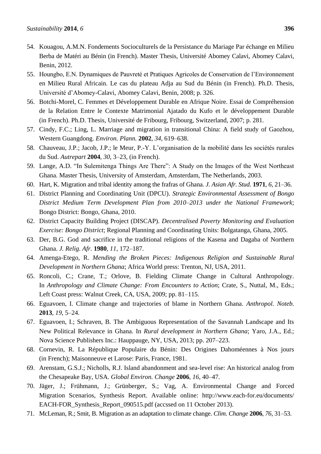- 54. Kouagou, A.M.N. Fondements Socioculturels de la Persistance du Mariage Par échange en Milieu Berba de Matéri au Bénin (in French). Master Thesis, Université Abomey Calavi, Abomey Calavi, Benin, 2012.
- 55. Houngbo, E.N. Dynamiques de Pauvreté et Pratiques Agricoles de Conservation de l'Environnement en Milieu Rural Africain. Le cas du plateau Adja au Sud du Bénin (in French). Ph.D. Thesis, Université d'Abomey-Calavi, Abomey Calavi, Benin, 2008; p. 326.
- 56. Botchi-Morel, C. Femmes et Développement Durable en Afrique Noire. Essai de Compréhension de la Relation Entre le Contexte Matrimonial Ajatado du Kufo et le développement Durable (in French). Ph.D. Thesis, Université de Fribourg, Fribourg, Switzerland, 2007; p. 281.
- 57. Cindy, F.C.; Ling, L. Marriage and migration in transitional China: A field study of Gaozhou, Western Guangdong. *Environ. Plann.* **2002**, *34*, 619–638.
- 58. Chauveau, J.P.; Jacob, J.P.; le Meur, P.-Y. L'organisation de la mobilité dans les sociétés rurales du Sud. *Autrepart* **2004**, *30*, 3–23, (in French).
- 59. Lange, A.D. "In Sulemitenga Things Are There": A Study on the Images of the West Northeast Ghana. Master Thesis, University of Amsterdam, Amsterdam, The Netherlands, 2003.
- 60. Hart, K. Migration and tribal identity among the frafras of Ghana. *J. Asian Afr. Stud.* **1971**, *6*, 21–36.
- 61. District Planning and Coordinating Unit (DPCU). *Strategic Environmental Assessment of Bongo District Medium Term Development Plan from 2010–2013 under the National Framework*; Bongo District: Bongo, Ghana, 2010.
- 62. District Capacity Building Project (DISCAP). *Decentralised Poverty Monitoring and Evaluation Exercise: Bongo District*; Regional Planning and Coordinating Units: Bolgatanga, Ghana, 2005.
- 63. Der, B.G. God and sacrifice in the traditional religions of the Kasena and Dagaba of Northern Ghana. *J. Relig. Afr.* **1980**, *11*, 172–187.
- 64. Amenga-Etego, R. *Mending the Broken Pieces: Indigenous Religion and Sustainable Rural Development in Northern Ghana*; Africa World press: Trenton, NJ, USA, 2011.
- 65. Roncoli, C.; Crane, T.; Orlove, B. Fielding Climate Change in Cultural Anthropology. In *Anthropology and Climate Change: From Encounters to Action*; Crate, S., Nuttal, M., Eds.; Left Coast press: Walnut Creek, CA, USA, 2009; pp. 81–115.
- 66. Eguavoen, I. Climate change and trajectories of blame in Northern Ghana. *Anthropol. Noteb.* **2013**, *19*, 5–24.
- 67. Eguavoen, I.; Schraven, B. The Ambiguous Representation of the Savannah Landscape and Its New Political Relevance in Ghana. In *Rural development in Northern Ghana*; Yaro, J.A., Ed.; Nova Science Publishers Inc.: Hauppauge, NY, USA, 2013; pp. 207–223.
- 68. Cornevin, R. La République Populaire du Bénin: Des Origines Dahoméennes à Nos jours (in French); Maisonneuve et Larose: Paris, France, 1981.
- 69. Arenstam, G.S.J.; Nicholls, R.J. Island abandonment and sea-level rise: An historical analog from the Chesapeake Bay, USA. *Global Environ. Change* **2006**, *16*, 40–47.
- 70. Jäger, J.; Frühmann, J.; Grünberger, S.; Vag, A. Environmental Change and Forced Migration Scenarios, Synthesis Report. Available online: http://www.each-for.eu/documents/ EACH-FOR Synthesis Report 090515.pdf (accssed on 11 October 2013).
- 71. McLeman, R.; Smit, B. Migration as an adaptation to climate change. *Clim. Change* **2006**, *76*, 31–53.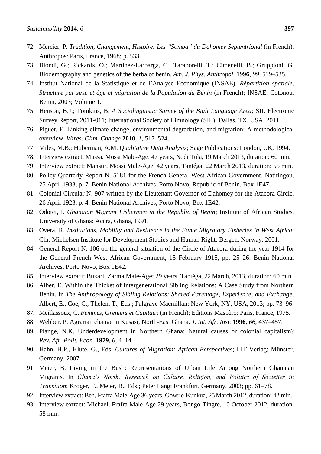- 72. Mercier, P. *Tradition, Changement, Histoire: Les "Somba" du Dahomey Septentrional* (in French); Anthropos: Paris, France, 1968; p. 533.
- 73. Biondi, G.; Rickards, O.; Martinez-Larbarga, C.; Taraborelli, T.; Cimenelli, B.; Gruppioni, G. Biodemography and genetics of the berba of benin. *Am. J. Phys. Anthropol.* **1996**, *99*, 519–535.
- 74. Institut National de la Statistique et de l'Analyse Economique (INSAE). *Répartition spatiale, Structure par sexe et âge et migration de la Population du Bénin* (in French); INSAE: Cotonou, Benin, 2003; Volume 1.
- 75. Henson, B.J.; Tomkins, B. *A Sociolinguistic Survey of the Biali Language Area*; SIL Electronic Survey Report, 2011-011; International Society of Limnology (SIL): Dallas, TX, USA, 2011.
- 76. Piguet, E. Linking climate change, environmental degradation, and migration: A methodological overview. *Wires. Clim. Change* **2010**, *1*, 517–524.
- 77. Miles, M.B.; Huberman, A.M. *Qualitative Data Analysis*; Sage Publications: London, UK, 1994.
- 78. Interview extract: Mussa, Mossi Male-Age: 47 years, Nodi Tula, 19 March 2013, duration: 60 min.
- 79. Interview extract: Mansur, Mossi Male-Age: 42 years, Tantéga, 22 March 2013, duration: 55 min.
- 80. Policy Quarterly Report N. 5181 for the French General West African Government, Natitingou, 25 April 1933, p. 7. Benin National Archives, Porto Novo, Republic of Benin, Box 1E47.
- 81. Colonial Circular N. 907 written by the Lieutenant Governor of Dahomey for the Atacora Circle, 26 April 1923, p. 4. Benin National Archives, Porto Novo, Box 1E42.
- 82. Odotei, I. *Ghanaian Migrant Fishermen in the Republic of Benin*; Institute of African Studies, University of Ghana: Accra, Ghana, 1991.
- 83. Overa, R. *Institutions, Mobility and Resilience in the Fante Migratory Fisheries in West Africa*; Chr. Michelsen Institute for Development Studies and Human Right: Bergen, Norway, 2001.
- 84. General Report N. 106 on the general situation of the Circle of Atacora during the year 1914 for the General French West African Government, 15 February 1915, pp. 25–26. Benin National Archives, Porto Novo, Box 1E42.
- 85. Interview extract: Bukari, Zarma Male-Age: 29 years, Tantéga, 22 March, 2013, duration: 60 min.
- 86. Alber, E. Within the Thicket of Intergenerational Sibling Relations: A Case Study from Northern Benin. In *The Anthropology of Sibling Relations: Shared Parentage, Experience, and Exchange*; Albert, E., Coe, C., Thelen, T., Eds.; Palgrave Macmillan: New York, NY, USA, 2013; pp. 73–96.
- 87. Meillassoux, C. *Femmes, Greniers et Capitaux* (in French); Editions Maspèro: Paris, France, 1975.
- 88. Webber, P. Agrarian change in Kusasi, North-East Ghana. *J. Int. Afr. Inst.* **1996**, *66*, 437–457.
- 89. Plange, N.K. Underdevelopment in Northern Ghana: Natural causes or colonial capitalism? *Rev. Afr. Polit. Econ.* **1979**, *6*, 4–14.
- 90. Hahn, H.P., Klute, G., Eds. *Cultures of Migration: African Perspectives*; LIT Verlag: Münster, Germany, 2007.
- 91. Meier, B. Living in the Bush: Representations of Urban Life Among Northern Ghanaian Migrants. In *Ghana's North: Research on Culture, Religion, and Politics of Societies in Transition*; Kroger, F., Meier, B., Eds.; Peter Lang: Frankfurt, Germany, 2003; pp. 61–78.
- 92. Interview extract: Ben, Frafra Male-Age 36 years, Gowrie-Kunkua, 25March 2012, duration: 42 min.
- 93. Interview extract: Michael, Frafra Male-Age 29 years, Bongo-Tingre, 10 October 2012, duration: 58 min.